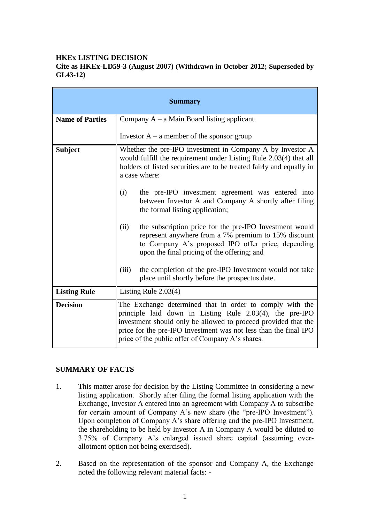# **HKEx LISTING DECISION**

## **Cite as HKEx-LD59-3 (August 2007) (Withdrawn in October 2012; Superseded by GL43-12)**

| <b>Summary</b>         |                                                                                                                                                                                                                                                                                                                |
|------------------------|----------------------------------------------------------------------------------------------------------------------------------------------------------------------------------------------------------------------------------------------------------------------------------------------------------------|
| <b>Name of Parties</b> | Company $A - a$ Main Board listing applicant                                                                                                                                                                                                                                                                   |
|                        | Investor $A - a$ member of the sponsor group                                                                                                                                                                                                                                                                   |
| <b>Subject</b>         | Whether the pre-IPO investment in Company A by Investor A<br>would fulfill the requirement under Listing Rule 2.03(4) that all<br>holders of listed securities are to be treated fairly and equally in<br>a case where:                                                                                        |
|                        | the pre-IPO investment agreement was entered into<br>(i)<br>between Investor A and Company A shortly after filing<br>the formal listing application;                                                                                                                                                           |
|                        | the subscription price for the pre-IPO Investment would<br>(ii)<br>represent anywhere from a 7% premium to 15% discount<br>to Company A's proposed IPO offer price, depending<br>upon the final pricing of the offering; and                                                                                   |
|                        | the completion of the pre-IPO Investment would not take<br>(iii)<br>place until shortly before the prospectus date.                                                                                                                                                                                            |
| <b>Listing Rule</b>    | Listing Rule $2.03(4)$                                                                                                                                                                                                                                                                                         |
| <b>Decision</b>        | The Exchange determined that in order to comply with the<br>principle laid down in Listing Rule 2.03(4), the pre-IPO<br>investment should only be allowed to proceed provided that the<br>price for the pre-IPO Investment was not less than the final IPO<br>price of the public offer of Company A's shares. |

# **SUMMARY OF FACTS**

- 1. This matter arose for decision by the Listing Committee in considering a new listing application. Shortly after filing the formal listing application with the Exchange, Investor A entered into an agreement with Company A to subscribe for certain amount of Company A"s new share (the "pre-IPO Investment"). Upon completion of Company A"s share offering and the pre-IPO Investment, the shareholding to be held by Investor A in Company A would be diluted to 3.75% of Company A"s enlarged issued share capital (assuming overallotment option not being exercised).
- 2. Based on the representation of the sponsor and Company A, the Exchange noted the following relevant material facts: -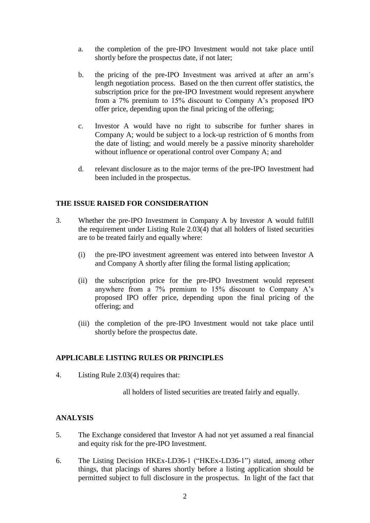- a. the completion of the pre-IPO Investment would not take place until shortly before the prospectus date, if not later;
- b. the pricing of the pre-IPO Investment was arrived at after an arm"s length negotiation process. Based on the then current offer statistics, the subscription price for the pre-IPO Investment would represent anywhere from a 7% premium to 15% discount to Company A"s proposed IPO offer price, depending upon the final pricing of the offering;
- c. Investor A would have no right to subscribe for further shares in Company A; would be subject to a lock-up restriction of 6 months from the date of listing; and would merely be a passive minority shareholder without influence or operational control over Company A; and
- d. relevant disclosure as to the major terms of the pre-IPO Investment had been included in the prospectus.

### **THE ISSUE RAISED FOR CONSIDERATION**

- 3. Whether the pre-IPO Investment in Company A by Investor A would fulfill the requirement under Listing Rule 2.03(4) that all holders of listed securities are to be treated fairly and equally where:
	- (i) the pre-IPO investment agreement was entered into between Investor A and Company A shortly after filing the formal listing application;
	- (ii) the subscription price for the pre-IPO Investment would represent anywhere from a 7% premium to 15% discount to Company A"s proposed IPO offer price, depending upon the final pricing of the offering; and
	- (iii) the completion of the pre-IPO Investment would not take place until shortly before the prospectus date.

#### **APPLICABLE LISTING RULES OR PRINCIPLES**

4. Listing Rule 2.03(4) requires that:

all holders of listed securities are treated fairly and equally.

# **ANALYSIS**

- 5. The Exchange considered that Investor A had not yet assumed a real financial and equity risk for the pre-IPO Investment.
- 6. The Listing Decision HKEx-LD36-1 ("HKEx-LD36-1") stated, among other things, that placings of shares shortly before a listing application should be permitted subject to full disclosure in the prospectus. In light of the fact that